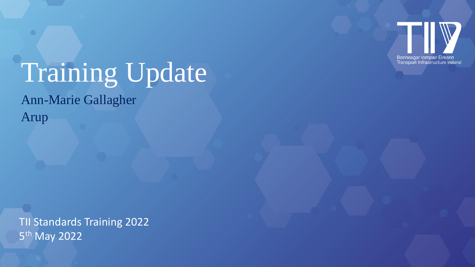

# Training Update

Ann-Marie Gallagher

Arup

TII Standards Training 2022 5<sup>th</sup> May 2022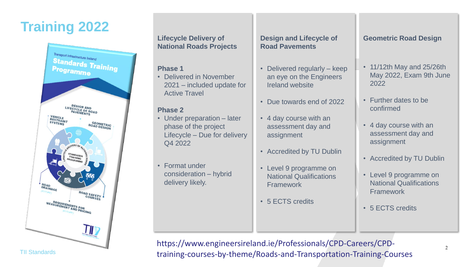## **Training 2022**



TII Standards

#### **Lifecycle Delivery of National Roads Projects**

#### **Phase 1**

• Delivered in November 2021 – included update for Active Travel

### **Phase 2**

- Under preparation later phase of the project Lifecycle – Due for delivery Q4 2022
- Format under consideration – hybrid delivery likely.

#### **Design and Lifecycle of Road Pavements**

- Delivered regularly keep an eye on the Engineers Ireland website
- Due towards end of 2022
- 4 day course with an assessment day and assignment
- Accredited by TU Dublin
- Level 9 programme on National Qualifications Framework
- 5 ECTS credits

## **Geometric Road Design**

- 11/12th May and 25/26th May 2022, Exam 9th June 2022
- Further dates to be confirmed
- 4 day course with an assessment day and assignment
- Accredited by TU Dublin
- Level 9 programme on National Qualifications **Framework**
- 5 ECTS credits

https://www.engineersireland.ie/Professionals/CPD-Careers/CPDtraining-courses-by-theme/Roads-and-Transportation-Training-Courses